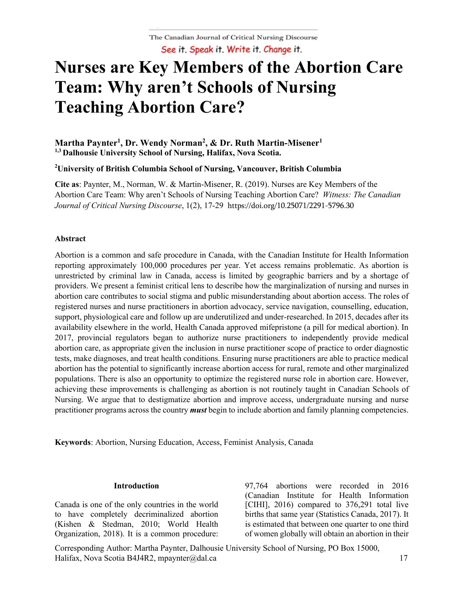# **Nurses are Key Members of the Abortion Care Team: Why aren't Schools of Nursing Teaching Abortion Care?**

## **Martha Paynter1 , Dr. Wendy Norman2 , & Dr. Ruth Martin-Misener1 1,3 Dalhousie University School of Nursing, Halifax, Nova Scotia.**

**2 University of British Columbia School of Nursing, Vancouver, British Columbia**

**Cite as**: Paynter, M., Norman, W. & Martin-Misener, R. (2019). Nurses are Key Members of the Abortion Care Team: Why aren't Schools of Nursing Teaching Abortion Care? *Witness: The Canadian Journal of Critical Nursing Discourse*, 1(2), 17-29 https://doi.org/10.25071/2291-5796.30

#### **Abstract**

Abortion is a common and safe procedure in Canada, with the Canadian Institute for Health Information reporting approximately 100,000 procedures per year. Yet access remains problematic. As abortion is unrestricted by criminal law in Canada, access is limited by geographic barriers and by a shortage of providers. We present a feminist critical lens to describe how the marginalization of nursing and nurses in abortion care contributes to social stigma and public misunderstanding about abortion access. The roles of registered nurses and nurse practitioners in abortion advocacy, service navigation, counselling, education, support, physiological care and follow up are underutilized and under-researched. In 2015, decades after its availability elsewhere in the world, Health Canada approved mifepristone (a pill for medical abortion). In 2017, provincial regulators began to authorize nurse practitioners to independently provide medical abortion care, as appropriate given the inclusion in nurse practitioner scope of practice to order diagnostic tests, make diagnoses, and treat health conditions. Ensuring nurse practitioners are able to practice medical abortion has the potential to significantly increase abortion access for rural, remote and other marginalized populations. There is also an opportunity to optimize the registered nurse role in abortion care. However, achieving these improvements is challenging as abortion is not routinely taught in Canadian Schools of Nursing. We argue that to destigmatize abortion and improve access, undergraduate nursing and nurse practitioner programs across the country *must* begin to include abortion and family planning competencies.

**Keywords**: Abortion, Nursing Education, Access, Feminist Analysis, Canada

#### **Introduction**

Canada is one of the only countries in the world to have completely decriminalized abortion (Kishen & Stedman, 2010; World Health Organization, 2018). It is a common procedure:

97,764 abortions were recorded in 2016 (Canadian Institute for Health Information [CIHI], 2016) compared to 376,291 total live births that same year (Statistics Canada, 2017). It is estimated that between one quarter to one third of women globally will obtain an abortion in their

Corresponding Author: Martha Paynter, Dalhousie University School of Nursing, PO Box 15000, Halifax, Nova Scotia B4J4R2, mpaynter@dal.ca 17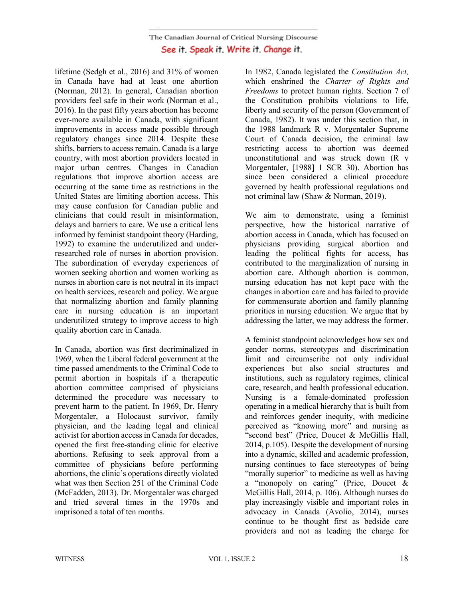lifetime (Sedgh et al., 2016) and 31% of women in Canada have had at least one abortion (Norman, 2012). In general, Canadian abortion providers feel safe in their work (Norman et al., 2016). In the past fifty years abortion has become ever-more available in Canada, with significant improvements in access made possible through regulatory changes since 2014. Despite these shifts, barriers to access remain. Canada is a large country, with most abortion providers located in major urban centres. Changes in Canadian regulations that improve abortion access are occurring at the same time as restrictions in the United States are limiting abortion access. This may cause confusion for Canadian public and clinicians that could result in misinformation, delays and barriers to care. We use a critical lens informed by feminist standpoint theory (Harding, 1992) to examine the underutilized and underresearched role of nurses in abortion provision. The subordination of everyday experiences of women seeking abortion and women working as nurses in abortion care is not neutral in its impact on health services, research and policy. We argue that normalizing abortion and family planning care in nursing education is an important underutilized strategy to improve access to high quality abortion care in Canada.

In Canada, abortion was first decriminalized in 1969, when the Liberal federal government at the time passed amendments to the Criminal Code to permit abortion in hospitals if a therapeutic abortion committee comprised of physicians determined the procedure was necessary to prevent harm to the patient. In 1969, Dr. Henry Morgentaler, a Holocaust survivor, family physician, and the leading legal and clinical activist for abortion access in Canada for decades, opened the first free-standing clinic for elective abortions. Refusing to seek approval from a committee of physicians before performing abortions, the clinic's operations directly violated what was then Section 251 of the Criminal Code (McFadden, 2013). Dr. Morgentaler was charged and tried several times in the 1970s and imprisoned a total of ten months.

In 1982, Canada legislated the *Constitution Act,*  which enshrined the *Charter of Rights and Freedoms* to protect human rights. Section 7 of the Constitution prohibits violations to life, liberty and security of the person (Government of Canada, 1982). It was under this section that, in the 1988 landmark R v. Morgentaler Supreme Court of Canada decision, the criminal law restricting access to abortion was deemed unconstitutional and was struck down (R v Morgentaler, [1988] 1 SCR 30). Abortion has since been considered a clinical procedure governed by health professional regulations and not criminal law (Shaw & Norman, 2019).

We aim to demonstrate, using a feminist perspective, how the historical narrative of abortion access in Canada, which has focused on physicians providing surgical abortion and leading the political fights for access, has contributed to the marginalization of nursing in abortion care. Although abortion is common, nursing education has not kept pace with the changes in abortion care and has failed to provide for commensurate abortion and family planning priorities in nursing education. We argue that by addressing the latter, we may address the former.

A feminist standpoint acknowledges how sex and gender norms, stereotypes and discrimination limit and circumscribe not only individual experiences but also social structures and institutions, such as regulatory regimes, clinical care, research, and health professional education. Nursing is a female-dominated profession operating in a medical hierarchy that is built from and reinforces gender inequity, with medicine perceived as "knowing more" and nursing as "second best" (Price, Doucet & McGillis Hall, 2014, p.105). Despite the development of nursing into a dynamic, skilled and academic profession, nursing continues to face stereotypes of being "morally superior" to medicine as well as having a "monopoly on caring" (Price, Doucet & McGillis Hall, 2014, p. 106). Although nurses do play increasingly visible and important roles in advocacy in Canada (Avolio, 2014), nurses continue to be thought first as bedside care providers and not as leading the charge for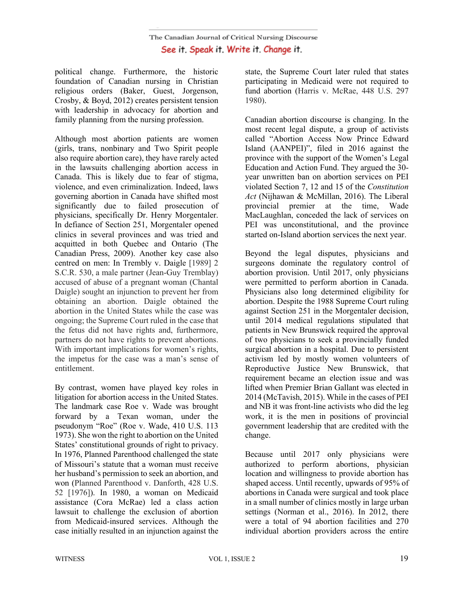political change. Furthermore, the historic foundation of Canadian nursing in Christian religious orders (Baker, Guest, Jorgenson, Crosby, & Boyd, 2012) creates persistent tension with leadership in advocacy for abortion and family planning from the nursing profession.

Although most abortion patients are women (girls, trans, nonbinary and Two Spirit people also require abortion care), they have rarely acted in the lawsuits challenging abortion access in Canada. This is likely due to fear of stigma, violence, and even criminalization. Indeed, laws governing abortion in Canada have shifted most significantly due to failed prosecution of physicians, specifically Dr. Henry Morgentaler. In defiance of Section 251, Morgentaler opened clinics in several provinces and was tried and acquitted in both Quebec and Ontario (The Canadian Press, 2009). Another key case also centred on men: In Trembly v. Daigle [1989] 2 S.C.R. 530, a male partner (Jean-Guy Tremblay) accused of abuse of a pregnant woman (Chantal Daigle) sought an injunction to prevent her from obtaining an abortion. Daigle obtained the abortion in the United States while the case was ongoing; the Supreme Court ruled in the case that the fetus did not have rights and, furthermore, partners do not have rights to prevent abortions. With important implications for women's rights, the impetus for the case was a man's sense of entitlement.

By contrast, women have played key roles in litigation for abortion access in the United States. The landmark case Roe v. Wade was brought forward by a Texan woman, under the pseudonym "Roe" (Roe v. Wade, 410 U.S. 113 1973). She won the right to abortion on the United States' constitutional grounds of right to privacy. In 1976, Planned Parenthood challenged the state of Missouri's statute that a woman must receive her husband's permission to seek an abortion, and won (Planned Parenthood v. Danforth, 428 U.S. 52 [1976]). In 1980, a woman on Medicaid assistance (Cora McRae) led a class action lawsuit to challenge the exclusion of abortion from Medicaid-insured services. Although the case initially resulted in an injunction against the

state, the Supreme Court later ruled that states participating in Medicaid were not required to fund abortion (Harris v. McRae, 448 U.S. 297 1980).

Canadian abortion discourse is changing. In the most recent legal dispute, a group of activists called "Abortion Access Now Prince Edward Island (AANPEI)", filed in 2016 against the province with the support of the Women's Legal Education and Action Fund. They argued the 30 year unwritten ban on abortion services on PEI violated Section 7, 12 and 15 of the *Constitution Act* (Nijhawan & McMillan, 2016). The Liberal provincial premier at the time, Wade MacLaughlan, conceded the lack of services on PEI was unconstitutional, and the province started on-Island abortion services the next year.

Beyond the legal disputes, physicians and surgeons dominate the regulatory control of abortion provision. Until 2017, only physicians were permitted to perform abortion in Canada. Physicians also long determined eligibility for abortion. Despite the 1988 Supreme Court ruling against Section 251 in the Morgentaler decision, until 2014 medical regulations stipulated that patients in New Brunswick required the approval of two physicians to seek a provincially funded surgical abortion in a hospital. Due to persistent activism led by mostly women volunteers of Reproductive Justice New Brunswick, that requirement became an election issue and was lifted when Premier Brian Gallant was elected in 2014 (McTavish, 2015). While in the cases of PEI and NB it was front-line activists who did the leg work, it is the men in positions of provincial government leadership that are credited with the change.

Because until 2017 only physicians were authorized to perform abortions, physician location and willingness to provide abortion has shaped access. Until recently, upwards of 95% of abortions in Canada were surgical and took place in a small number of clinics mostly in large urban settings (Norman et al., 2016). In 2012, there were a total of 94 abortion facilities and 270 individual abortion providers across the entire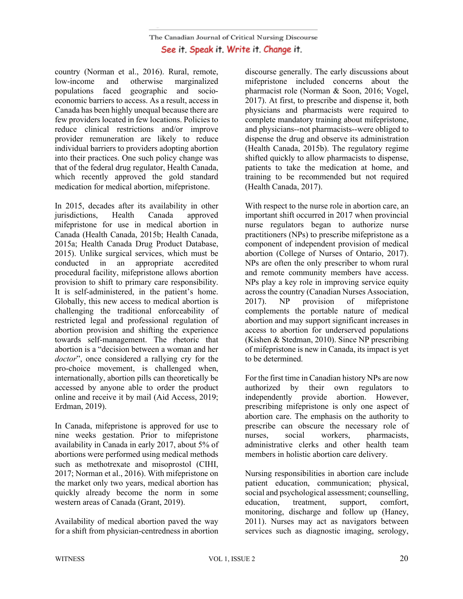country (Norman et al., 2016). Rural, remote, low-income and otherwise marginalized populations faced geographic and socioeconomic barriers to access. As a result, access in Canada has been highly unequal because there are few providers located in few locations. Policies to reduce clinical restrictions and/or improve provider remuneration are likely to reduce individual barriers to providers adopting abortion into their practices. One such policy change was that of the federal drug regulator, Health Canada, which recently approved the gold standard medication for medical abortion, mifepristone.

In 2015, decades after its availability in other jurisdictions, Health Canada approved mifepristone for use in medical abortion in Canada (Health Canada, 2015b; Health Canada, 2015a; Health Canada Drug Product Database, 2015). Unlike surgical services, which must be conducted in an appropriate accredited procedural facility, mifepristone allows abortion provision to shift to primary care responsibility. It is self-administered, in the patient's home. Globally, this new access to medical abortion is challenging the traditional enforceability of restricted legal and professional regulation of abortion provision and shifting the experience towards self-management. The rhetoric that abortion is a "decision between a woman and her *doctor*", once considered a rallying cry for the pro-choice movement, is challenged when, internationally, abortion pills can theoretically be accessed by anyone able to order the product online and receive it by mail (Aid Access, 2019; Erdman, 2019).

In Canada, mifepristone is approved for use to nine weeks gestation. Prior to mifepristone availability in Canada in early 2017, about 5% of abortions were performed using medical methods such as methotrexate and misoprostol (CIHI, 2017; Norman et al., 2016). With mifepristone on the market only two years, medical abortion has quickly already become the norm in some western areas of Canada (Grant, 2019).

Availability of medical abortion paved the way for a shift from physician-centredness in abortion discourse generally. The early discussions about mifepristone included concerns about the pharmacist role (Norman & Soon, 2016; Vogel, 2017). At first, to prescribe and dispense it, both physicians and pharmacists were required to complete mandatory training about mifepristone, and physicians--not pharmacists--were obliged to dispense the drug and observe its administration (Health Canada, 2015b). The regulatory regime shifted quickly to allow pharmacists to dispense, patients to take the medication at home, and training to be recommended but not required (Health Canada, 2017).

With respect to the nurse role in abortion care, an important shift occurred in 2017 when provincial nurse regulators began to authorize nurse practitioners (NPs) to prescribe mifepristone as a component of independent provision of medical abortion (College of Nurses of Ontario, 2017). NPs are often the only prescriber to whom rural and remote community members have access. NPs play a key role in improving service equity across the country (Canadian Nurses Association, 2017). NP provision of mifepristone complements the portable nature of medical abortion and may support significant increases in access to abortion for underserved populations (Kishen & Stedman, 2010). Since NP prescribing of mifepristone is new in Canada, its impact is yet to be determined.

For the first time in Canadian history NPs are now authorized by their own regulators to independently provide abortion. However, prescribing mifepristone is only one aspect of abortion care. The emphasis on the authority to prescribe can obscure the necessary role of nurses, social workers, pharmacists, administrative clerks and other health team members in holistic abortion care delivery.

Nursing responsibilities in abortion care include patient education, communication; physical, social and psychological assessment; counselling, education, treatment, support, comfort, monitoring, discharge and follow up (Haney, 2011). Nurses may act as navigators between services such as diagnostic imaging, serology,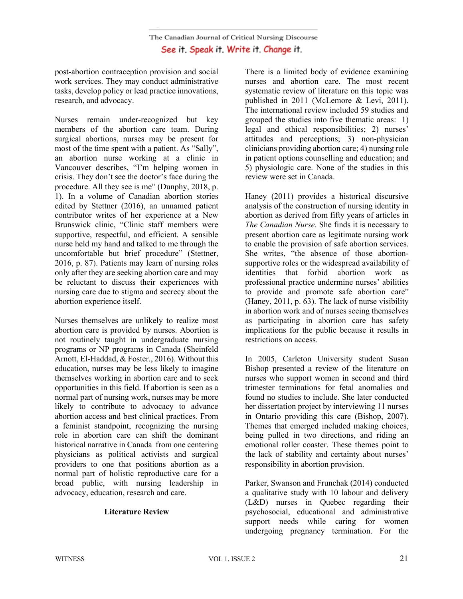post-abortion contraception provision and social work services. They may conduct administrative tasks, develop policy or lead practice innovations, research, and advocacy.

Nurses remain under-recognized but key members of the abortion care team. During surgical abortions, nurses may be present for most of the time spent with a patient. As "Sally", an abortion nurse working at a clinic in Vancouver describes, "I'm helping women in crisis. They don't see the doctor's face during the procedure. All they see is me" (Dunphy, 2018, p. 1). In a volume of Canadian abortion stories edited by Stettner (2016), an unnamed patient contributor writes of her experience at a New Brunswick clinic, "Clinic staff members were supportive, respectful, and efficient. A sensible nurse held my hand and talked to me through the uncomfortable but brief procedure" (Stettner, 2016, p. 87). Patients may learn of nursing roles only after they are seeking abortion care and may be reluctant to discuss their experiences with nursing care due to stigma and secrecy about the abortion experience itself.

Nurses themselves are unlikely to realize most abortion care is provided by nurses. Abortion is not routinely taught in undergraduate nursing programs or NP programs in Canada (Sheinfeld Arnott, El-Haddad, & Foster., 2016). Without this education, nurses may be less likely to imagine themselves working in abortion care and to seek opportunities in this field. If abortion is seen as a normal part of nursing work, nurses may be more likely to contribute to advocacy to advance abortion access and best clinical practices. From a feminist standpoint, recognizing the nursing role in abortion care can shift the dominant historical narrative in Canada from one centering physicians as political activists and surgical providers to one that positions abortion as a normal part of holistic reproductive care for a broad public, with nursing leadership in advocacy, education, research and care.

### **Literature Review**

There is a limited body of evidence examining nurses and abortion care. The most recent systematic review of literature on this topic was published in 2011 (McLemore & Levi, 2011). The international review included 59 studies and grouped the studies into five thematic areas: 1) legal and ethical responsibilities; 2) nurses' attitudes and perceptions; 3) non-physician clinicians providing abortion care; 4) nursing role in patient options counselling and education; and 5) physiologic care. None of the studies in this review were set in Canada.

Haney (2011) provides a historical discursive analysis of the construction of nursing identity in abortion as derived from fifty years of articles in *The Canadian Nurse*. She finds it is necessary to present abortion care as legitimate nursing work to enable the provision of safe abortion services. She writes, "the absence of those abortionsupportive roles or the widespread availability of identities that forbid abortion work as professional practice undermine nurses' abilities to provide and promote safe abortion care" (Haney, 2011, p. 63). The lack of nurse visibility in abortion work and of nurses seeing themselves as participating in abortion care has safety implications for the public because it results in restrictions on access.

In 2005, Carleton University student Susan Bishop presented a review of the literature on nurses who support women in second and third trimester terminations for fetal anomalies and found no studies to include. She later conducted her dissertation project by interviewing 11 nurses in Ontario providing this care (Bishop, 2007). Themes that emerged included making choices, being pulled in two directions, and riding an emotional roller coaster. These themes point to the lack of stability and certainty about nurses' responsibility in abortion provision.

Parker, Swanson and Frunchak (2014) conducted a qualitative study with 10 labour and delivery (L&D) nurses in Quebec regarding their psychosocial, educational and administrative support needs while caring for women undergoing pregnancy termination. For the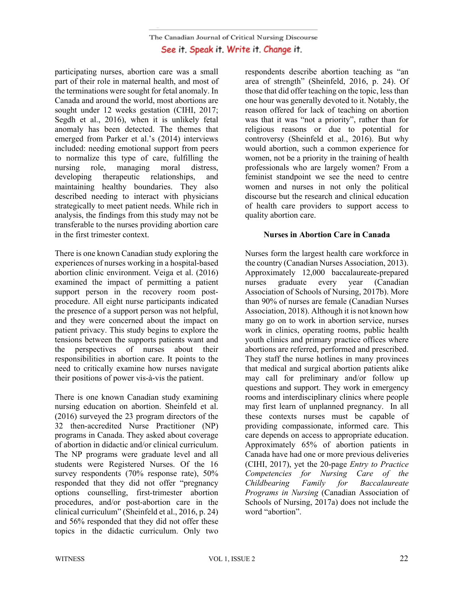participating nurses, abortion care was a small part of their role in maternal health, and most of the terminations were sought for fetal anomaly. In Canada and around the world, most abortions are sought under 12 weeks gestation (CIHI, 2017; Segdh et al., 2016), when it is unlikely fetal anomaly has been detected. The themes that emerged from Parker et al.'s (2014) interviews included: needing emotional support from peers to normalize this type of care, fulfilling the nursing role, managing moral distress, developing therapeutic relationships, and maintaining healthy boundaries. They also described needing to interact with physicians strategically to meet patient needs. While rich in analysis, the findings from this study may not be transferable to the nurses providing abortion care in the first trimester context.

There is one known Canadian study exploring the experiences of nurses working in a hospital-based abortion clinic environment. Veiga et al. (2016) examined the impact of permitting a patient support person in the recovery room postprocedure. All eight nurse participants indicated the presence of a support person was not helpful, and they were concerned about the impact on patient privacy. This study begins to explore the tensions between the supports patients want and the perspectives of nurses about their responsibilities in abortion care. It points to the need to critically examine how nurses navigate their positions of power vis-à-vis the patient.

There is one known Canadian study examining nursing education on abortion. Sheinfeld et al. (2016) surveyed the 23 program directors of the 32 then-accredited Nurse Practitioner (NP) programs in Canada. They asked about coverage of abortion in didactic and/or clinical curriculum. The NP programs were graduate level and all students were Registered Nurses. Of the 16 survey respondents (70% response rate), 50% responded that they did not offer "pregnancy options counselling, first-trimester abortion procedures, and/or post-abortion care in the clinical curriculum" (Sheinfeld et al., 2016, p. 24) and 56% responded that they did not offer these topics in the didactic curriculum. Only two respondents describe abortion teaching as "an area of strength" (Sheinfeld, 2016, p. 24). Of those that did offer teaching on the topic, less than one hour was generally devoted to it. Notably, the reason offered for lack of teaching on abortion was that it was "not a priority", rather than for religious reasons or due to potential for controversy (Sheinfeld et al., 2016). But why would abortion, such a common experience for women, not be a priority in the training of health professionals who are largely women? From a feminist standpoint we see the need to centre women and nurses in not only the political discourse but the research and clinical education of health care providers to support access to quality abortion care.

### **Nurses in Abortion Care in Canada**

Nurses form the largest health care workforce in the country (Canadian Nurses Association, 2013). Approximately 12,000 baccalaureate-prepared nurses graduate every year (Canadian Association of Schools of Nursing, 2017b). More than 90% of nurses are female (Canadian Nurses Association, 2018). Although it is not known how many go on to work in abortion service, nurses work in clinics, operating rooms, public health youth clinics and primary practice offices where abortions are referred, performed and prescribed. They staff the nurse hotlines in many provinces that medical and surgical abortion patients alike may call for preliminary and/or follow up questions and support. They work in emergency rooms and interdisciplinary clinics where people may first learn of unplanned pregnancy. In all these contexts nurses must be capable of providing compassionate, informed care. This care depends on access to appropriate education. Approximately 65% of abortion patients in Canada have had one or more previous deliveries (CIHI, 2017), yet the 20-page *Entry to Practice Competencies for Nursing Care of the Childbearing Family for Baccalaureate Programs in Nursing* (Canadian Association of Schools of Nursing, 2017a) does not include the word "abortion".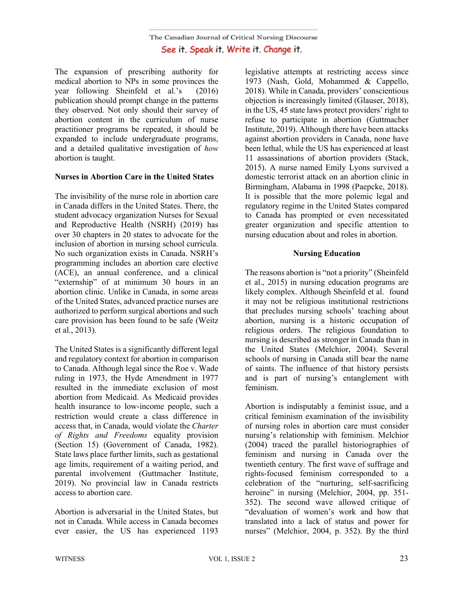The expansion of prescribing authority for medical abortion to NPs in some provinces the year following Sheinfeld et al.'s (2016) publication should prompt change in the patterns they observed. Not only should their survey of abortion content in the curriculum of nurse practitioner programs be repeated, it should be expanded to include undergraduate programs, and a detailed qualitative investigation of *how*  abortion is taught.

## **Nurses in Abortion Care in the United States**

The invisibility of the nurse role in abortion care in Canada differs in the United States. There, the student advocacy organization Nurses for Sexual and Reproductive Health (NSRH) (2019) has over 30 chapters in 20 states to advocate for the inclusion of abortion in nursing school curricula. No such organization exists in Canada. NSRH's programming includes an abortion care elective (ACE), an annual conference, and a clinical "externship" of at minimum 30 hours in an abortion clinic. Unlike in Canada, in some areas of the United States, advanced practice nurses are authorized to perform surgical abortions and such care provision has been found to be safe (Weitz et al., 2013).

The United States is a significantly different legal and regulatory context for abortion in comparison to Canada. Although legal since the Roe v. Wade ruling in 1973, the Hyde Amendment in 1977 resulted in the immediate exclusion of most abortion from Medicaid. As Medicaid provides health insurance to low-income people, such a restriction would create a class difference in access that, in Canada, would violate the *Charter of Rights and Freedoms* equality provision (Section 15) (Government of Canada, 1982). State laws place further limits, such as gestational age limits, requirement of a waiting period, and parental involvement (Guttmacher Institute, 2019). No provincial law in Canada restricts access to abortion care.

Abortion is adversarial in the United States, but not in Canada. While access in Canada becomes ever easier, the US has experienced 1193 legislative attempts at restricting access since 1973 (Nash, Gold, Mohammed & Cappello, 2018). While in Canada, providers' conscientious objection is increasingly limited (Glauser, 2018), in the US, 45 state laws protect providers' right to refuse to participate in abortion (Guttmacher Institute, 2019). Although there have been attacks against abortion providers in Canada, none have been lethal, while the US has experienced at least 11 assassinations of abortion providers (Stack, 2015). A nurse named Emily Lyons survived a domestic terrorist attack on an abortion clinic in Birmingham, Alabama in 1998 (Paepcke, 2018). It is possible that the more polemic legal and regulatory regime in the United States compared to Canada has prompted or even necessitated greater organization and specific attention to nursing education about and roles in abortion.

## **Nursing Education**

The reasons abortion is "not a priority" (Sheinfeld et al., 2015) in nursing education programs are likely complex. Although Sheinfeld et al. found it may not be religious institutional restrictions that precludes nursing schools' teaching about abortion, nursing is a historic occupation of religious orders. The religious foundation to nursing is described as stronger in Canada than in the United States (Melchior, 2004). Several schools of nursing in Canada still bear the name of saints. The influence of that history persists and is part of nursing's entanglement with feminism.

Abortion is indisputably a feminist issue, and a critical feminism examination of the invisibility of nursing roles in abortion care must consider nursing's relationship with feminism. Melchior (2004) traced the parallel historiographies of feminism and nursing in Canada over the twentieth century. The first wave of suffrage and rights-focused feminism corresponded to a celebration of the "nurturing, self-sacrificing heroine" in nursing (Melchior, 2004, pp. 351-352). The second wave allowed critique of "devaluation of women's work and how that translated into a lack of status and power for nurses" (Melchior, 2004, p. 352). By the third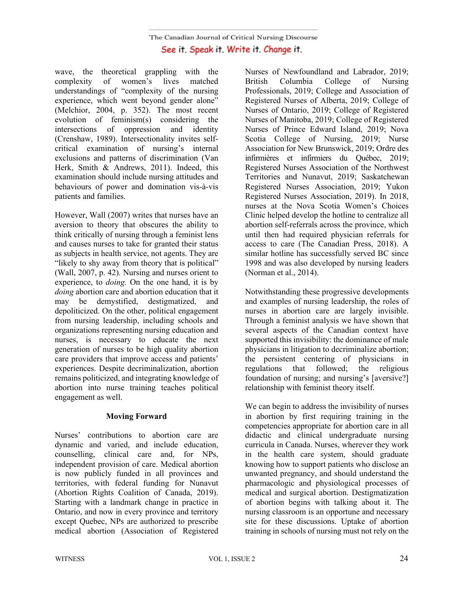wave, the theoretical grappling with the complexity of women's lives matched understandings of "complexity of the nursing experience, which went beyond gender alone" (Melchior, 2004, p. 352). The most recent evolution of feminism(s) considering the intersections of oppression and identity (Crenshaw, 1989). Intersectionality invites selfcritical examination of nursing's internal exclusions and patterns of discrimination (Van Herk, Smith & Andrews, 2011). Indeed, this examination should include nursing attitudes and behaviours of power and domination vis-à-vis patients and families.

However, Wall (2007) writes that nurses have an aversion to theory that obscures the ability to think critically of nursing through a feminist lens and causes nurses to take for granted their status as subjects in health service, not agents. They are "likely to shy away from theory that is political" (Wall, 2007, p. 42). Nursing and nurses orient to experience, to *doing.* On the one hand, it is by *doing* abortion care and abortion education that it may be demystified, destigmatized, and depoliticized. On the other, political engagement from nursing leadership, including schools and organizations representing nursing education and nurses, is necessary to educate the next generation of nurses to be high quality abortion care providers that improve access and patients' experiences. Despite decriminalization, abortion remains politicized, and integrating knowledge of abortion into nurse training teaches political engagement as well.

## **Moving Forward**

Nurses' contributions to abortion care are dynamic and varied, and include education, counselling, clinical care and, for NPs, independent provision of care. Medical abortion is now publicly funded in all provinces and territories, with federal funding for Nunavut (Abortion Rights Coalition of Canada, 2019). Starting with a landmark change in practice in Ontario, and now in every province and territory except Quebec, NPs are authorized to prescribe medical abortion (Association of Registered Nurses of Newfoundland and Labrador, 2019; British Columbia College of Nursing Professionals, 2019; College and Association of Registered Nurses of Alberta, 2019; College of Nurses of Ontario, 2019; College of Registered Nurses of Manitoba, 2019; College of Registered Nurses of Prince Edward Island, 2019; Nova Scotia College of Nursing, 2019; Nurse Association for New Brunswick, 2019; Ordre des infirmières et infirmiers du Québec, 2019; Registered Nurses Association of the Northwest Territories and Nunavut, 2019; Saskatchewan Registered Nurses Association, 2019; Yukon Registered Nurses Association, 2019). In 2018, nurses at the Nova Scotia Women's Choices Clinic helped develop the hotline to centralize all abortion self-referrals across the province, which until then had required physician referrals for access to care (The Canadian Press, 2018). A similar hotline has successfully served BC since 1998 and was also developed by nursing leaders (Norman et al., 2014).

Notwithstanding these progressive developments and examples of nursing leadership, the roles of nurses in abortion care are largely invisible. Through a feminist analysis we have shown that several aspects of the Canadian context have supported this invisibility: the dominance of male physicians in litigation to decriminalize abortion; the persistent centering of physicians in regulations that followed; the religious foundation of nursing; and nursing's [aversive?] relationship with feminist theory itself.

We can begin to address the invisibility of nurses in abortion by first requiring training in the competencies appropriate for abortion care in all didactic and clinical undergraduate nursing curricula in Canada. Nurses, wherever they work in the health care system, should graduate knowing how to support patients who disclose an unwanted pregnancy, and should understand the pharmacologic and physiological processes of medical and surgical abortion. Destigmatization of abortion begins with talking about it. The nursing classroom is an opportune and necessary site for these discussions. Uptake of abortion training in schools of nursing must not rely on the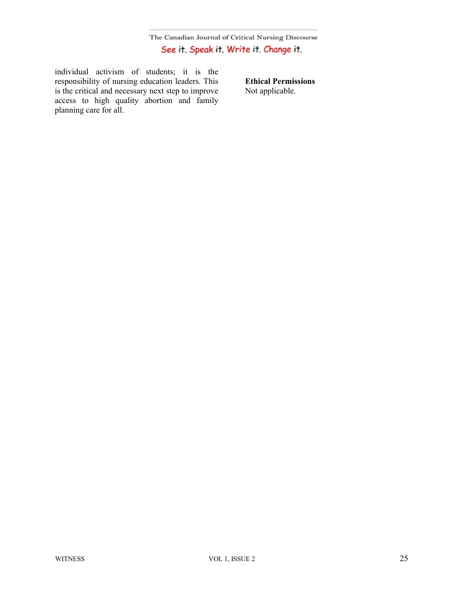individual activism of students; it is the responsibility of nursing education leaders. This is the critical and necessary next step to improve access to high quality abortion and family planning care for all.

**Ethical Permissions** Not applicable.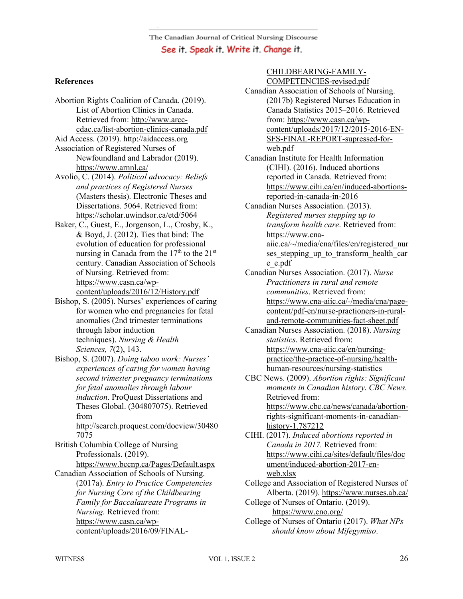## **References**

- Abortion Rights Coalition of Canada. (2019). List of Abortion Clinics in Canada. Retrieved from: http://www.arcccdac.ca/list-abortion-clinics-canada.pdf
- Aid Access. (2019). http://aidaccess.org Association of Registered Nurses of Newfoundland and Labrador (2019). https://www.arnnl.ca/
- Avolio, C. (2014). *Political advocacy: Beliefs and practices of Registered Nurses* (Masters thesis). Electronic Theses and Dissertations. 5064. Retrieved from: https://scholar.uwindsor.ca/etd/5064
- Baker, C., Guest, E., Jorgenson, L., Crosby, K., & Boyd, J. (2012). Ties that bind: The evolution of education for professional nursing in Canada from the  $17<sup>th</sup>$  to the  $21<sup>st</sup>$ century. Canadian Association of Schools of Nursing. Retrieved from: https://www.casn.ca/wpcontent/uploads/2016/12/History.pdf
- Bishop, S. (2005). Nurses' experiences of caring for women who end pregnancies for fetal anomalies (2nd trimester terminations through labor induction techniques). *Nursing & Health Sciences, 7*(2), 143.
- Bishop, S. (2007). *Doing taboo work: Nurses' experiences of caring for women having second trimester pregnancy terminations for fetal anomalies through labour induction*. ProQuest Dissertations and Theses Global. (304807075). Retrieved from

http://search.proquest.com/docview/30480 7075

British Columbia College of Nursing Professionals. (2019). https://www.bccnp.ca/Pages/Default.aspx

Canadian Association of Schools of Nursing. (2017a). *Entry to Practice Competencies for Nursing Care of the Childbearing Family for Baccalaureate Programs in Nursing.* Retrieved from: https://www.casn.ca/wpcontent/uploads/2016/09/FINAL-

#### CHILDBEARING-FAMILY-COMPETENCIES-revised.pdf

- Canadian Association of Schools of Nursing. (2017b) Registered Nurses Education in Canada Statistics 2015–2016. Retrieved from: https://www.casn.ca/wpcontent/uploads/2017/12/2015-2016-EN-SFS-FINAL-REPORT-supressed-forweb.pdf
- Canadian Institute for Health Information (CIHI). (2016). Induced abortions reported in Canada. Retrieved from: https://www.cihi.ca/en/induced-abortionsreported-in-canada-in-2016
- Canadian Nurses Association. (2013). *Registered nurses stepping up to transform health care*. Retrieved from: https://www.cnaaiic.ca/~/media/cna/files/en/registered\_nur ses stepping up to transform health car e\_e.pdf
- Canadian Nurses Association. (2017). *Nurse Practitioners in rural and remote communities*. Retrieved from: https://www.cna-aiic.ca/-/media/cna/pagecontent/pdf-en/nurse-practioners-in-ruraland-remote-communities-fact-sheet.pdf
- Canadian Nurses Association. (2018). *Nursing statistics*. Retrieved from: https://www.cna-aiic.ca/en/nursingpractice/the-practice-of-nursing/healthhuman-resources/nursing-statistics
- CBC News. (2009). *Abortion rights: Significant moments in Canadian history*. *CBC News.* Retrieved from: https://www.cbc.ca/news/canada/abortionrights-significant-moments-in-canadianhistory-1.787212

CIHI. (2017). *Induced abortions reported in Canada in 2017.* Retrieved from: https://www.cihi.ca/sites/default/files/doc ument/induced-abortion-2017-enweb.xlsx

College and Association of Registered Nurses of Alberta. (2019). https://www.nurses.ab.ca/ College of Nurses of Ontario. (2019).

https://www.cno.org/

College of Nurses of Ontario (2017). *What NPs should know about Mifegymiso*.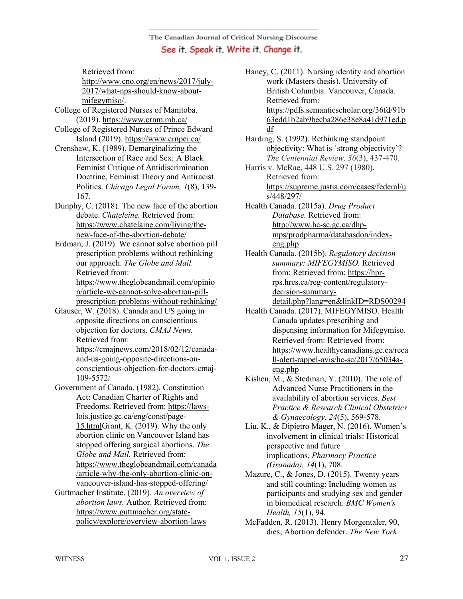Retrieved from: http://www.cno.org/en/news/2017/july-2017/what-nps-should-know-aboutmifegymiso/.

- College of Registered Nurses of Manitoba. (2019). https://www.crnm.mb.ca/
- College of Registered Nurses of Prince Edward Island (2019). https://www.crnpei.ca/
- Crenshaw, K. (1989). Demarginalizing the Intersection of Race and Sex: A Black Feminist Critique of Antidiscrimination Doctrine, Feminist Theory and Antiracist Politics. *Chicago Legal Forum, 1*(8), 139- 167.
- Dunphy, C. (2018). The new face of the abortion debate. *Chateleine.* Retrieved from: https://www.chatelaine.com/living/thenew-face-of-the-abortion-debate/
- Erdman, J. (2019). We cannot solve abortion pill prescription problems without rethinking our approach. *The Globe and Mail.*  Retrieved from: https://www.theglobeandmail.com/opinio n/article-we-cannot-solve-abortion-pillprescription-problems-without-rethinking/
- Glauser, W. (2018). Canada and US going in opposite directions on conscientious objection for doctors. *CMAJ News.*  Retrieved from: https://cmajnews.com/2018/02/12/canada
	- and-us-going-opposite-directions-onconscientious-objection-for-doctors-cmaj-109-5572/
- Government of Canada. (1982). Constitution Act: Canadian Charter of Rights and Freedoms. Retrieved from: https://lawslois.justice.gc.ca/eng/const/page-15.htmlGrant, K. (2019). Why the only abortion clinic on Vancouver Island has stopped offering surgical abortions. *The Globe and Mail.* Retrieved from: https://www.theglobeandmail.com/canada /article-why-the-only-abortion-clinic-onvancouver-island-has-stopped-offering/
- Guttmacher Institute. (2019). *An overview of abortion laws.* Author. Retrieved from: https://www.guttmacher.org/statepolicy/explore/overview-abortion-laws
- Haney, C. (2011). Nursing identity and abortion work (Masters thesis). University of British Columbia. Vancouver, Canada. Retrieved from: https://pdfs.semanticscholar.org/36fd/91b 63edd1b2ab9becba286e38e8a41d971ed.p df
- Harding, S. (1992). Rethinking standpoint objectivity: What is 'strong objectivity'? *The Centennial Review, 36*(3), 437-470.
- Harris v. McRae, 448 U.S. 297 (1980). Retrieved from: https://supreme.justia.com/cases/federal/u s/448/297/
- Health Canada. (2015a). *Drug Product Database.* Retrieved from: http://www.hc-sc.gc.ca/dhpmps/prodpharma/databasdon/indexeng.php
- Health Canada. (2015b). *Regulatory decision summary: MIFEGYMISO.* Retrieved from: Retrieved from: https://hprrps.hres.ca/reg-content/regulatorydecision-summarydetail.php?lang=en&linkID=RDS00294
- Health Canada. (2017). MIFEGYMISO. Health Canada updates prescribing and dispensing information for Mifegymiso. Retrieved from: Retrieved from: https://www.healthycanadians.gc.ca/reca ll-alert-rappel-avis/hc-sc/2017/65034aeng.php
- Kishen, M., & Stedman, Y. (2010). The role of Advanced Nurse Practitioners in the availability of abortion services. *Best Practice & Research Clinical Obstetrics & Gynaecology, 24*(5), 569-578.
- Liu, K., & Dipietro Mager, N. (2016). Women's involvement in clinical trials: Historical perspective and future implications. *Pharmacy Practice (Granada), 14*(1), 708.
- Mazure, C., & Jones, D. (2015). Twenty years and still counting: Including women as participants and studying sex and gender in biomedical research. *BMC Women's Health, 15*(1), 94.
- McFadden, R. (2013). Henry Morgentaler, 90, dies; Abortion defender. *The New York*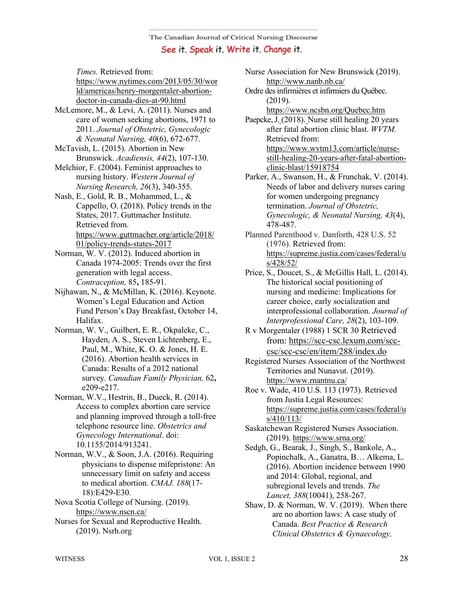*Times.* Retrieved from:

https://www.nytimes.com/2013/05/30/wor ld/americas/henry-morgentaler-abortiondoctor-in-canada-dies-at-90.html

- McLemore, M., & Levi, A. (2011). Nurses and care of women seeking abortions, 1971 to 2011. *Journal of Obstetric, Gynecologic & Neonatal Nursing, 40*(6), 672-677.
- McTavish, L. (2015). Abortion in New Brunswick. *Acadiensis, 44*(2), 107-130.

Melchior, F. (2004). Feminist approaches to nursing history. *Western Journal of Nursing Research, 26*(3), 340-355.

Nash, E., Gold, R. B., Mohammed, L., & Cappello, O. (2018). Policy trends in the States, 2017. Guttmacher Institute. Retrieved from. https://www.guttmacher.org/article/2018/ 01/policy-trends-states-2017

Norman, W. V. (2012). Induced abortion in Canada 1974-2005: Trends over the first generation with legal access. *Contraception,* 85**,** 185-91.

Nijhawan, N., & McMillan, K. (2016). Keynote. Women's Legal Education and Action Fund Person's Day Breakfast, October 14, Halifax.

Norman, W. V., Guilbert, E. R., Okpaleke, C., Hayden, A. S., Steven Lichtenberg, E., Paul, M., White, K. O. & Jones, H. E. (2016). Abortion health services in Canada: Results of a 2012 national survey. *Canadian Family Physician,* 62**,** e209-e217.

Norman, W.V., Hestrin, B., Dueck, R. (2014). Access to complex abortion care service and planning improved through a toll-free telephone resource line. *Obstetrics and Gynecology International*. doi: 10.1155/2014/913241.

Norman, W.V., & Soon, J.A. (2016). Requiring physicians to dispense mifepristone: An unnecessary limit on safety and access to medical abortion*. CMAJ. 188*(17- 18):E429-E30.

Nova Scotia College of Nursing. (2019). https://www.nscn.ca/

Nurses for Sexual and Reproductive Health. (2019). Nsrh.org

Nurse Association for New Brunswick (2019). http://www.nanb.nb.ca/

Ordre des infirmières et infirmiers du Québec. (2019).

https://www.ncsbn.org/Quebec.htm

Paepcke, J. (2018). Nurse still healing 20 years after fatal abortion clinic blast. *WVTM.* Retrieved from: https://www.wvtm13.com/article/nursestill-healing-20-years-after-fatal-abortionclinic-blast/15918754

Parker, A., Swanson, H., & Frunchak, V. (2014). Needs of labor and delivery nurses caring for women undergoing pregnancy termination. *Journal of Obstetric, Gynecologic, & Neonatal Nursing, 43*(4), 478-487.

- Planned Parenthood v. Danforth, 428 U.S. 52 (1976). Retrieved from: https://supreme.justia.com/cases/federal/u s/428/52/
- Price, S., Doucet, S., & McGillis Hall, L. (2014). The historical social positioning of nursing and medicine: Implications for career choice, early socialization and interprofessional collaboration. *Journal of Interprofessional Care, 28*(2), 103-109.

R v Morgentaler (1988) 1 SCR 30 Retrieved from: https://scc-csc.lexum.com/scccsc/scc-csc/en/item/288/index.do

Registered Nurses Association of the Northwest Territories and Nunavut. (2019). https://www.rnantnu.ca/

Roe v. Wade, 410 U.S. 113 (1973). Retrieved from Justia Legal Resources: https://supreme.justia.com/cases/federal/u s/410/113/

- Saskatchewan Registered Nurses Association. (2019). https://www.srna.org/
- Sedgh, G., Bearak, J., Singh, S., Bankole, A., Popinchalk, A., Ganatra, B… Alkema, L. (2016). Abortion incidence between 1990 and 2014: Global, regional, and subregional levels and trends. *The Lancet, 388*(10041), 258-267.
- Shaw, D. & Norman, W. V. (2019). When there are no abortion laws: A case study of Canada. *Best Practice & Research Clinical Obstetrics & Gynaecology,*